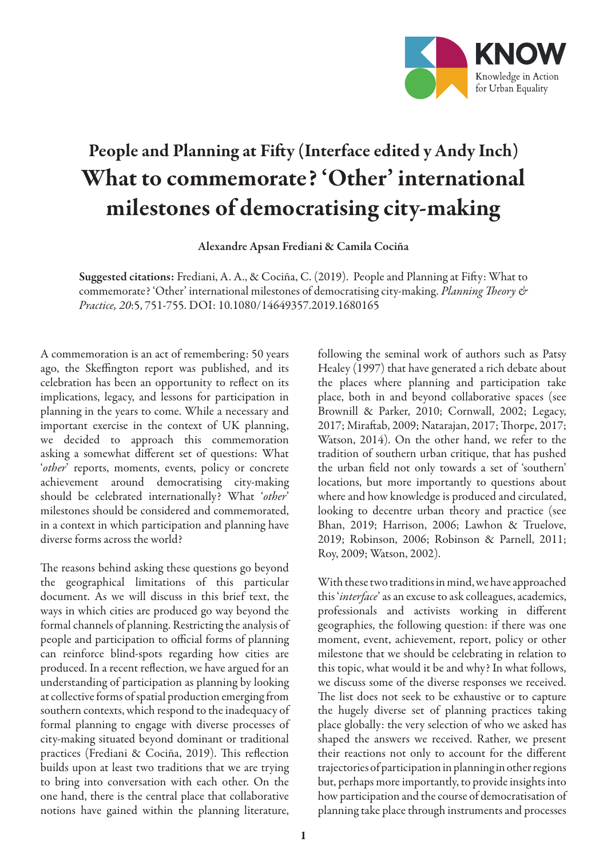

## People and Planning at Fifty (Interface edited y Andy Inch) What to commemorate? 'Other' international milestones of democratising city-making

Alexandre Apsan Frediani & Camila Cociña

Suggested citations: Frediani, A. A., & Cociña, C. (2019). People and Planning at Fifty: What to commemorate? 'Other' international milestones of democratising city-making. *Planning Theory & Practice, 20*:5, 751-755. DOI: 10.1080/14649357.2019.1680165

A commemoration is an act of remembering: 50 years ago, the Skeffington report was published, and its celebration has been an opportunity to reflect on its implications, legacy, and lessons for participation in planning in the years to come. While a necessary and important exercise in the context of UK planning, we decided to approach this commemoration asking a somewhat different set of questions: What '*other*' reports, moments, events, policy or concrete achievement around democratising city-making should be celebrated internationally? What '*other*' milestones should be considered and commemorated, in a context in which participation and planning have diverse forms across the world?

The reasons behind asking these questions go beyond the geographical limitations of this particular document. As we will discuss in this brief text, the ways in which cities are produced go way beyond the formal channels of planning. Restricting the analysis of people and participation to official forms of planning can reinforce blind-spots regarding how cities are produced. In a recent reflection, we have argued for an understanding of participation as planning by looking at collective forms of spatial production emerging from southern contexts, which respond to the inadequacy of formal planning to engage with diverse processes of city-making situated beyond dominant or traditional practices (Frediani & Cociña, 2019). This reflection builds upon at least two traditions that we are trying to bring into conversation with each other. On the one hand, there is the central place that collaborative notions have gained within the planning literature,

following the seminal work of authors such as Patsy Healey (1997) that have generated a rich debate about the places where planning and participation take place, both in and beyond collaborative spaces (see Brownill & Parker, 2010; Cornwall, 2002; Legacy, 2017; Miraftab, 2009; Natarajan, 2017; Thorpe, 2017; Watson, 2014). On the other hand, we refer to the tradition of southern urban critique, that has pushed the urban field not only towards a set of 'southern' locations, but more importantly to questions about where and how knowledge is produced and circulated, looking to decentre urban theory and practice (see Bhan, 2019; Harrison, 2006; Lawhon & Truelove, 2019; Robinson, 2006; Robinson & Parnell, 2011; Roy, 2009; Watson, 2002).

With these two traditions in mind, we have approached this '*interface*' as an excuse to ask colleagues, academics, professionals and activists working in different geographies, the following question: if there was one moment, event, achievement, report, policy or other milestone that we should be celebrating in relation to this topic, what would it be and why? In what follows, we discuss some of the diverse responses we received. The list does not seek to be exhaustive or to capture the hugely diverse set of planning practices taking place globally: the very selection of who we asked has shaped the answers we received. Rather, we present their reactions not only to account for the different trajectories of participation in planning in other regions but, perhaps more importantly, to provide insights into how participation and the course of democratisation of planning take place through instruments and processes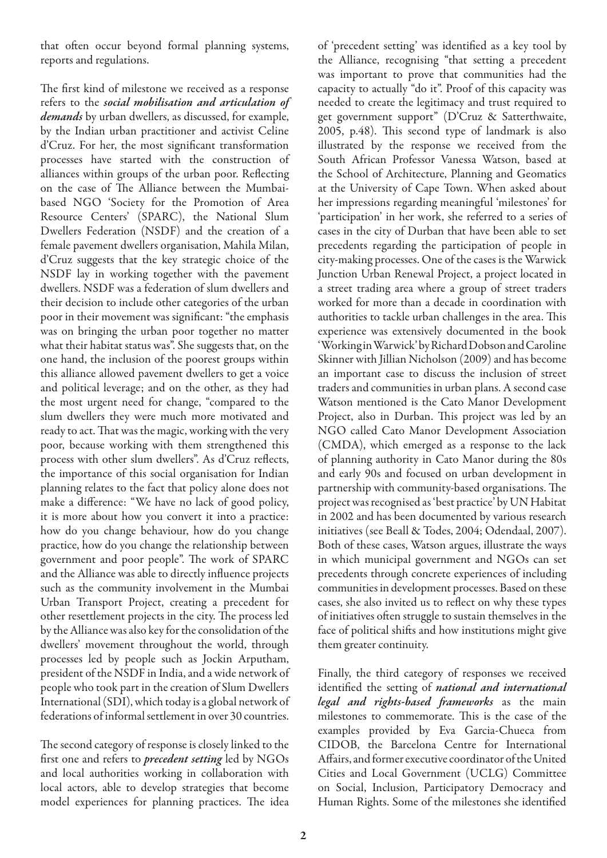that often occur beyond formal planning systems, reports and regulations.

The first kind of milestone we received as a response refers to the *social mobilisation and articulation of demands* by urban dwellers, as discussed, for example, by the Indian urban practitioner and activist Celine d'Cruz. For her, the most significant transformation processes have started with the construction of alliances within groups of the urban poor. Reflecting on the case of The Alliance between the Mumbaibased NGO 'Society for the Promotion of Area Resource Centers' (SPARC), the National Slum Dwellers Federation (NSDF) and the creation of a female pavement dwellers organisation, Mahila Milan, d'Cruz suggests that the key strategic choice of the NSDF lay in working together with the pavement dwellers. NSDF was a federation of slum dwellers and their decision to include other categories of the urban poor in their movement was significant: "the emphasis was on bringing the urban poor together no matter what their habitat status was". She suggests that, on the one hand, the inclusion of the poorest groups within this alliance allowed pavement dwellers to get a voice and political leverage; and on the other, as they had the most urgent need for change, "compared to the slum dwellers they were much more motivated and ready to act. That was the magic, working with the very poor, because working with them strengthened this process with other slum dwellers". As d'Cruz reflects, the importance of this social organisation for Indian planning relates to the fact that policy alone does not make a difference: "We have no lack of good policy, it is more about how you convert it into a practice: how do you change behaviour, how do you change practice, how do you change the relationship between government and poor people". The work of SPARC and the Alliance was able to directly influence projects such as the community involvement in the Mumbai Urban Transport Project, creating a precedent for other resettlement projects in the city. The process led by the Alliance was also key for the consolidation of the dwellers' movement throughout the world, through processes led by people such as Jockin Arputham, president of the NSDF in India, and a wide network of people who took part in the creation of Slum Dwellers International (SDI), which today is a global network of federations of informal settlement in over 30 countries.

The second category of response is closely linked to the first one and refers to *precedent setting* led by NGOs and local authorities working in collaboration with local actors, able to develop strategies that become model experiences for planning practices. The idea of 'precedent setting' was identified as a key tool by the Alliance, recognising "that setting a precedent was important to prove that communities had the capacity to actually "do it". Proof of this capacity was needed to create the legitimacy and trust required to get government support" (D'Cruz & Satterthwaite, 2005, p.48). This second type of landmark is also illustrated by the response we received from the South African Professor Vanessa Watson, based at the School of Architecture, Planning and Geomatics at the University of Cape Town. When asked about her impressions regarding meaningful 'milestones' for 'participation' in her work, she referred to a series of cases in the city of Durban that have been able to set precedents regarding the participation of people in city-making processes. One of the cases is the Warwick Junction Urban Renewal Project, a project located in a street trading area where a group of street traders worked for more than a decade in coordination with authorities to tackle urban challenges in the area. This experience was extensively documented in the book 'Working in Warwick' by Richard Dobson and Caroline Skinner with Jillian Nicholson (2009) and has become an important case to discuss the inclusion of street traders and communities in urban plans. A second case Watson mentioned is the Cato Manor Development Project, also in Durban. This project was led by an NGO called Cato Manor Development Association (CMDA), which emerged as a response to the lack of planning authority in Cato Manor during the 80s and early 90s and focused on urban development in partnership with community-based organisations. The project was recognised as 'best practice' by UN Habitat in 2002 and has been documented by various research initiatives (see Beall & Todes, 2004; Odendaal, 2007). Both of these cases, Watson argues, illustrate the ways in which municipal government and NGOs can set precedents through concrete experiences of including communities in development processes. Based on these cases, she also invited us to reflect on why these types of initiatives often struggle to sustain themselves in the face of political shifts and how institutions might give them greater continuity.

Finally, the third category of responses we received identified the setting of *national and international legal and rights-based frameworks* as the main milestones to commemorate. This is the case of the examples provided by Eva Garcia-Chueca from CIDOB, the Barcelona Centre for International Affairs, and former executive coordinator of the United Cities and Local Government (UCLG) Committee on Social, Inclusion, Participatory Democracy and Human Rights. Some of the milestones she identified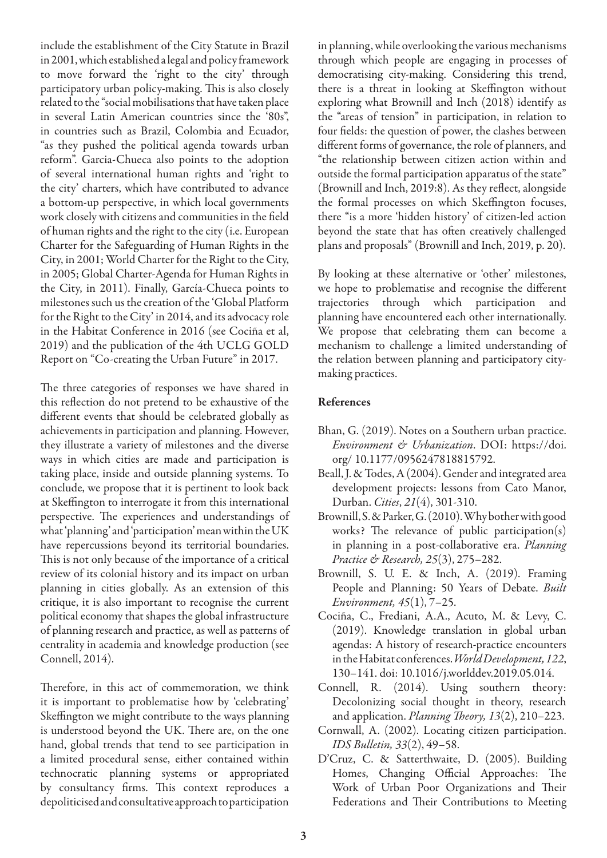include the establishment of the City Statute in Brazil in 2001, which established a legal and policy framework to move forward the 'right to the city' through participatory urban policy-making. This is also closely related to the "social mobilisations that have taken place in several Latin American countries since the '80s", in countries such as Brazil, Colombia and Ecuador, "as they pushed the political agenda towards urban reform". Garcia-Chueca also points to the adoption of several international human rights and 'right to the city' charters, which have contributed to advance a bottom-up perspective, in which local governments work closely with citizens and communities in the field of human rights and the right to the city (i.e. European Charter for the Safeguarding of Human Rights in the City, in 2001; World Charter for the Right to the City, in 2005; Global Charter-Agenda for Human Rights in the City, in 2011). Finally, García-Chueca points to milestones such us the creation of the 'Global Platform for the Right to the City' in 2014, and its advocacy role in the Habitat Conference in 2016 (see Cociña et al, 2019) and the publication of the 4th UCLG GOLD Report on "Co-creating the Urban Future" in 2017.

The three categories of responses we have shared in this reflection do not pretend to be exhaustive of the different events that should be celebrated globally as achievements in participation and planning. However, they illustrate a variety of milestones and the diverse ways in which cities are made and participation is taking place, inside and outside planning systems. To conclude, we propose that it is pertinent to look back at Skeffington to interrogate it from this international perspective. The experiences and understandings of what 'planning' and 'participation' mean within the UK have repercussions beyond its territorial boundaries. This is not only because of the importance of a critical review of its colonial history and its impact on urban planning in cities globally. As an extension of this critique, it is also important to recognise the current political economy that shapes the global infrastructure of planning research and practice, as well as patterns of centrality in academia and knowledge production (see Connell, 2014).

Therefore, in this act of commemoration, we think it is important to problematise how by 'celebrating' Skeffington we might contribute to the ways planning is understood beyond the UK. There are, on the one hand, global trends that tend to see participation in a limited procedural sense, either contained within technocratic planning systems or appropriated by consultancy firms. This context reproduces a depoliticised and consultative approach to participation

in planning, while overlooking the various mechanisms through which people are engaging in processes of democratising city-making. Considering this trend, there is a threat in looking at Skeffington without exploring what Brownill and Inch (2018) identify as the "areas of tension" in participation, in relation to four fields: the question of power, the clashes between different forms of governance, the role of planners, and "the relationship between citizen action within and outside the formal participation apparatus of the state" (Brownill and Inch, 2019:8). As they reflect, alongside the formal processes on which Skeffington focuses, there "is a more 'hidden history' of citizen-led action beyond the state that has often creatively challenged plans and proposals" (Brownill and Inch, 2019, p. 20).

By looking at these alternative or 'other' milestones, we hope to problematise and recognise the different trajectories through which participation and planning have encountered each other internationally. We propose that celebrating them can become a mechanism to challenge a limited understanding of the relation between planning and participatory citymaking practices.

## References

- Bhan, G. (2019). Notes on a Southern urban practice. *Environment & Urbanization*. DOI: https://doi. org/ 10.1177/0956247818815792.
- Beall, J. & Todes, A (2004). Gender and integrated area development projects: lessons from Cato Manor, Durban. *Cities*, *21*(4), 301-310.
- Brownill, S. & Parker, G. (2010). Why bother with good works? The relevance of public participation(s) in planning in a post-collaborative era. *Planning Practice & Research, 25*(3), 275–282.
- Brownill, S. U. E. & Inch, A. (2019). Framing People and Planning: 50 Years of Debate. *Built Environment, 45*(1), 7–25.
- Cociña, C., Frediani, A.A., Acuto, M. & Levy, C. (2019). Knowledge translation in global urban agendas: A history of research-practice encounters in the Habitat conferences. *World Development, 122*, 130–141. doi: 10.1016/j.worlddev.2019.05.014.
- Connell, R. (2014). Using southern theory: Decolonizing social thought in theory, research and application. *Planning Theory, 13*(2), 210–223.
- Cornwall, A. (2002). Locating citizen participation. *IDS Bulletin, 33*(2), 49–58.
- D'Cruz, C. & Satterthwaite, D. (2005). Building Homes, Changing Official Approaches: The Work of Urban Poor Organizations and Their Federations and Their Contributions to Meeting